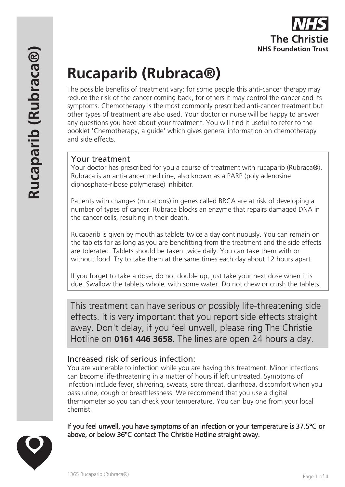# **Rucaparib (Rubraca®)**

The possible benefits of treatment vary; for some people this anti-cancer therapy may reduce the risk of the cancer coming back, for others it may control the cancer and its symptoms. Chemotherapy is the most commonly prescribed anti-cancer treatment but other types of treatment are also used. Your doctor or nurse will be happy to answer any questions you have about your treatment. You will find it useful to refer to the booklet 'Chemotherapy, a guide' which gives general information on chemotherapy and side effects.

## Your treatment

Your doctor has prescribed for you a course of treatment with rucaparib (Rubraca®). Rubraca is an anti-cancer medicine, also known as a PARP (poly adenosine diphosphate-ribose polymerase) inhibitor.

Patients with changes (mutations) in genes called BRCA are at risk of developing a number of types of cancer. Rubraca blocks an enzyme that repairs damaged DNA in the cancer cells, resulting in their death.

Rucaparib is given by mouth as tablets twice a day continuously. You can remain on the tablets for as long as you are benefitting from the treatment and the side effects are tolerated. Tablets should be taken twice daily. You can take them with or without food. Try to take them at the same times each day about 12 hours apart.

If you forget to take a dose, do not double up, just take your next dose when it is due. Swallow the tablets whole, with some water. Do not chew or crush the tablets.

This treatment can have serious or possibly life-threatening side effects. It is very important that you report side effects straight away. Don't delay, if you feel unwell, please ring The Christie Hotline on **0161 446 3658**. The lines are open 24 hours a day.

## Increased risk of serious infection:

You are vulnerable to infection while you are having this treatment. Minor infections can become life-threatening in a matter of hours if left untreated. Symptoms of infection include fever, shivering, sweats, sore throat, diarrhoea, discomfort when you pass urine, cough or breathlessness. We recommend that you use a digital thermometer so you can check your temperature. You can buy one from your local chemist.

If you feel unwell, you have symptoms of an infection or your temperature is 37.5ºC or above, or below 36ºC contact The Christie Hotline straight away.

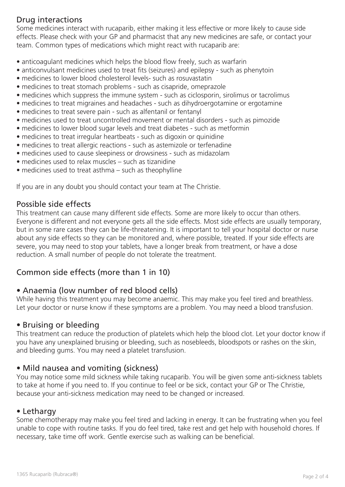# Drug interactions

Some medicines interact with rucaparib, either making it less effective or more likely to cause side effects. Please check with your GP and pharmacist that any new medicines are safe, or contact your team. Common types of medications which might react with rucaparib are:

- anticoagulant medicines which helps the blood flow freely, such as warfarin
- anticonvulsant medicines used to treat fits (seizures) and epilepsy such as phenytoin
- medicines to lower blood cholesterol levels- such as rosuvastatin
- medicines to treat stomach problems such as cisapride, omeprazole
- medicines which suppress the immune system such as ciclosporin, sirolimus or tacrolimus
- medicines to treat migraines and headaches such as dihydroergotamine or ergotamine
- medicines to treat severe pain such as alfentanil or fentanyl
- medicines used to treat uncontrolled movement or mental disorders such as pimozide
- medicines to lower blood sugar levels and treat diabetes such as metformin
- medicines to treat irregular heartbeats such as digoxin or quinidine
- medicines to treat allergic reactions such as astemizole or terfenadine
- medicines used to cause sleepiness or drowsiness such as midazolam
- medicines used to relax muscles such as tizanidine
- medicines used to treat asthma such as theophylline

If you are in any doubt you should contact your team at The Christie.

## Possible side effects

This treatment can cause many different side effects. Some are more likely to occur than others. Everyone is different and not everyone gets all the side effects. Most side effects are usually temporary, but in some rare cases they can be life-threatening. It is important to tell your hospital doctor or nurse about any side effects so they can be monitored and, where possible, treated. If your side effects are severe, you may need to stop your tablets, have a longer break from treatment, or have a dose reduction. A small number of people do not tolerate the treatment.

## Common side effects (more than 1 in 10)

## • Anaemia (low number of red blood cells)

While having this treatment you may become anaemic. This may make you feel tired and breathless. Let your doctor or nurse know if these symptoms are a problem. You may need a blood transfusion.

## • Bruising or bleeding

This treatment can reduce the production of platelets which help the blood clot. Let your doctor know if you have any unexplained bruising or bleeding, such as nosebleeds, bloodspots or rashes on the skin, and bleeding gums. You may need a platelet transfusion.

## • Mild nausea and vomiting (sickness)

You may notice some mild sickness while taking rucaparib. You will be given some anti-sickness tablets to take at home if you need to. If you continue to feel or be sick, contact your GP or The Christie, because your anti-sickness medication may need to be changed or increased.

#### • Lethargy

Some chemotherapy may make you feel tired and lacking in energy. It can be frustrating when you feel unable to cope with routine tasks. If you do feel tired, take rest and get help with household chores. If necessary, take time off work. Gentle exercise such as walking can be beneficial.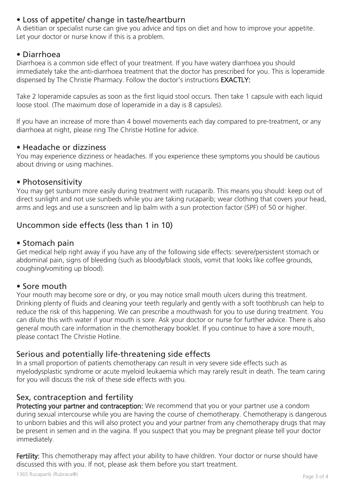# • Loss of appetite/ change in taste/heartburn

A dietitian or specialist nurse can give you advice and tips on diet and how to improve your appetite. Let your doctor or nurse know if this is a problem.

## • Diarrhoea

Diarrhoea is a common side effect of your treatment. If you have watery diarrhoea you should immediately take the anti-diarrhoea treatment that the doctor has prescribed for you. This is loperamide dispensed by The Christie Pharmacy. Follow the doctor's instructions EXACTLY:

Take 2 loperamide capsules as soon as the first liquid stool occurs. Then take 1 capsule with each liquid loose stool. (The maximum dose of loperamide in a day is 8 capsules).

If you have an increase of more than 4 bowel movements each day compared to pre-treatment, or any diarrhoea at night, please ring The Christie Hotline for advice.

## • Headache or dizziness

You may experience dizziness or headaches. If you experience these symptoms you should be cautious about driving or using machines.

#### • Photosensitivity

You may get sunburn more easily during treatment with rucaparib. This means you should: keep out of direct sunlight and not use sunbeds while you are taking rucaparib; wear clothing that covers your head, arms and legs and use a sunscreen and lip balm with a sun protection factor (SPF) of 50 or higher.

## Uncommon side effects (less than 1 in 10)

#### • Stomach pain

Get medical help right away if you have any of the following side effects: severe/persistent stomach or abdominal pain, signs of bleeding (such as bloody/black stools, vomit that looks like coffee grounds, coughing/vomiting up blood).

#### • Sore mouth

Your mouth may become sore or dry, or you may notice small mouth ulcers during this treatment. Drinking plenty of fluids and cleaning your teeth regularly and gently with a soft toothbrush can help to reduce the risk of this happening. We can prescribe a mouthwash for you to use during treatment. You can dilute this with water if your mouth is sore. Ask your doctor or nurse for further advice. There is also general mouth care information in the chemotherapy booklet. If you continue to have a sore mouth, please contact The Christie Hotline.

## Serious and potentially life-threatening side effects

In a small proportion of patients chemotherapy can result in very severe side effects such as myelodysplastic syndrome or acute myeloid leukaemia which may rarely result in death. The team caring for you will discuss the risk of these side effects with you.

## Sex, contraception and fertility

Protecting your partner and contraception: We recommend that you or your partner use a condom during sexual intercourse while you are having the course of chemotherapy. Chemotherapy is dangerous to unborn babies and this will also protect you and your partner from any chemotherapy drugs that may be present in semen and in the vagina. If you suspect that you may be pregnant please tell your doctor immediately.

Fertility: This chemotherapy may affect your ability to have children. Your doctor or nurse should have discussed this with you. If not, please ask them before you start treatment.